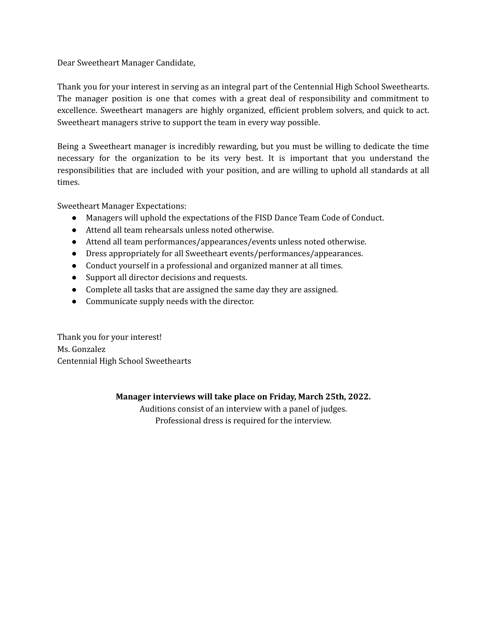Dear Sweetheart Manager Candidate,

Thank you for your interest in serving as an integral part of the Centennial High School Sweethearts. The manager position is one that comes with a great deal of responsibility and commitment to excellence. Sweetheart managers are highly organized, efficient problem solvers, and quick to act. Sweetheart managers strive to support the team in every way possible.

Being a Sweetheart manager is incredibly rewarding, but you must be willing to dedicate the time necessary for the organization to be its very best. It is important that you understand the responsibilities that are included with your position, and are willing to uphold all standards at all times.

Sweetheart Manager Expectations:

- Managers will uphold the expectations of the FISD Dance Team Code of Conduct.
- Attend all team rehearsals unless noted otherwise.
- Attend all team performances/appearances/events unless noted otherwise.
- Dress appropriately for all Sweetheart events/performances/appearances.
- Conduct yourself in a professional and organized manner at all times.
- Support all director decisions and requests.
- Complete all tasks that are assigned the same day they are assigned.
- Communicate supply needs with the director.

Thank you for your interest! Ms. Gonzalez Centennial High School Sweethearts

## **Manager interviews will take place on Friday, March 25th, 2022.**

Auditions consist of an interview with a panel of judges. Professional dress is required for the interview.